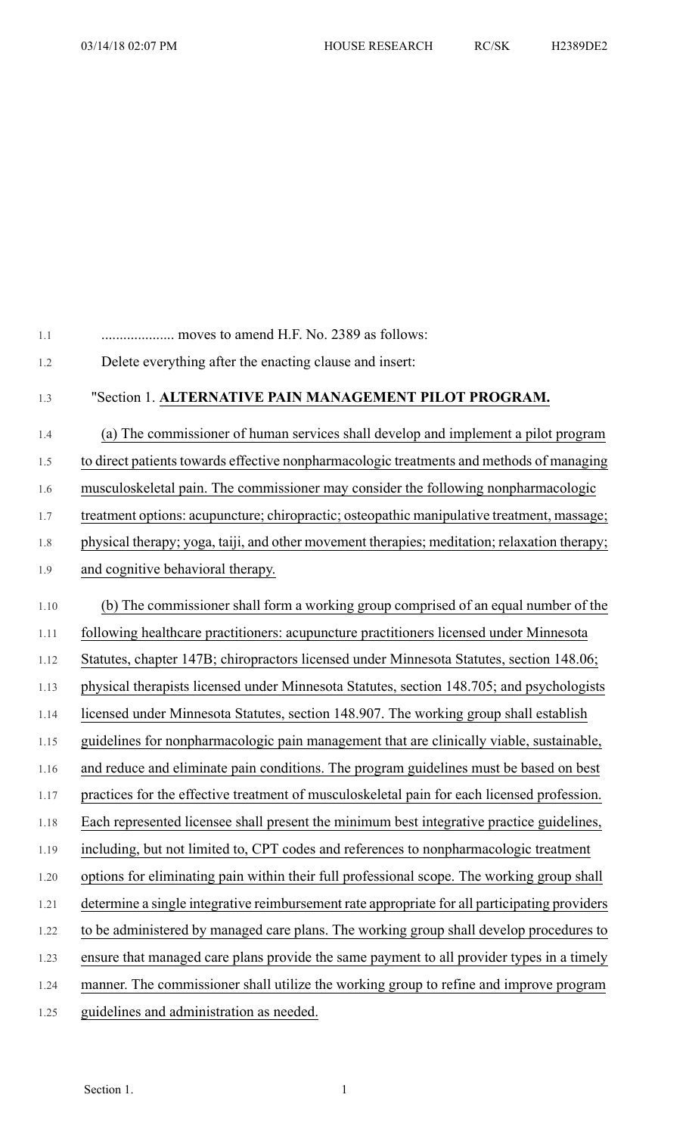| 1.1  |                                                                                               |
|------|-----------------------------------------------------------------------------------------------|
| 1.2  | Delete everything after the enacting clause and insert:                                       |
| 1.3  | "Section 1. ALTERNATIVE PAIN MANAGEMENT PILOT PROGRAM.                                        |
| 1.4  | (a) The commissioner of human services shall develop and implement a pilot program            |
| 1.5  | to direct patients towards effective nonpharmacologic treatments and methods of managing      |
| 1.6  | musculoskeletal pain. The commissioner may consider the following nonpharmacologic            |
| 1.7  | treatment options: acupuncture; chiropractic; osteopathic manipulative treatment, massage;    |
| 1.8  | physical therapy; yoga, taiji, and other movement therapies; meditation; relaxation therapy;  |
| 1.9  | and cognitive behavioral therapy.                                                             |
| 1.10 | (b) The commissioner shall form a working group comprised of an equal number of the           |
| 1.11 | following healthcare practitioners: acupuncture practitioners licensed under Minnesota        |
| 1.12 | Statutes, chapter 147B; chiropractors licensed under Minnesota Statutes, section 148.06;      |
| 1.13 | physical therapists licensed under Minnesota Statutes, section 148.705; and psychologists     |
| 1.14 | licensed under Minnesota Statutes, section 148.907. The working group shall establish         |
| 1.15 | guidelines for nonpharmacologic pain management that are clinically viable, sustainable,      |
| 1.16 | and reduce and eliminate pain conditions. The program guidelines must be based on best        |
| 1.17 | practices for the effective treatment of musculoskeletal pain for each licensed profession.   |
| 1.18 | Each represented licensee shall present the minimum best integrative practice guidelines,     |
| 1.19 | including, but not limited to, CPT codes and references to nonpharmacologic treatment         |
| 1.20 | options for eliminating pain within their full professional scope. The working group shall    |
| 1.21 | determine a single integrative reimbursement rate appropriate for all participating providers |
| 1.22 | to be administered by managed care plans. The working group shall develop procedures to       |
| 1.23 | ensure that managed care plans provide the same payment to all provider types in a timely     |
| 1.24 | manner. The commissioner shall utilize the working group to refine and improve program        |
| 1.25 | guidelines and administration as needed.                                                      |